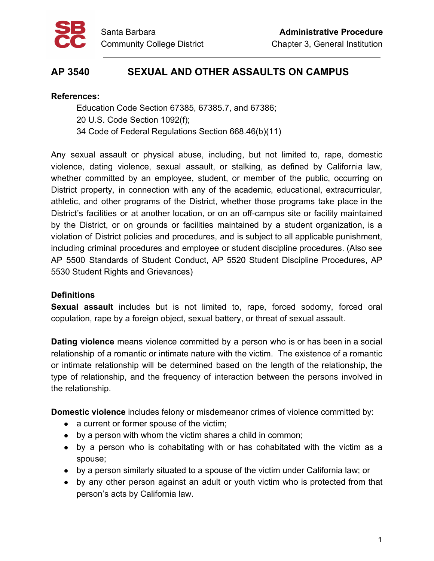

# **AP 3540 SEXUAL AND OTHER ASSAULTS ON CAMPUS**

#### **References:**

Education Code Section 67385, 67385.7, and 67386; 20 U.S. Code Section 1092(f); 34 Code of Federal Regulations Section 668.46(b)(11)

Any sexual assault or physical abuse, including, but not limited to, rape, domestic violence, dating violence, sexual assault, or stalking, as defined by California law, whether committed by an employee, student, or member of the public, occurring on District property, in connection with any of the academic, educational, extracurricular, athletic, and other programs of the District, whether those programs take place in the District's facilities or at another location, or on an off-campus site or facility maintained by the District, or on grounds or facilities maintained by a student organization, is a violation of District policies and procedures, and is subject to all applicable punishment, including criminal procedures and employee or student discipline procedures. (Also see AP 5500 Standards of Student Conduct, AP 5520 Student Discipline Procedures, AP 5530 Student Rights and Grievances)

# **Definitions**

**Sexual assault** includes but is not limited to, rape, forced sodomy, forced oral copulation, rape by a foreign object, sexual battery, or threat of sexual assault.

**Dating violence** means violence committed by a person who is or has been in a social relationship of a romantic or intimate nature with the victim. The existence of a romantic or intimate relationship will be determined based on the length of the relationship, the type of relationship, and the frequency of interaction between the persons involved in the relationship.

**Domestic violence** includes felony or misdemeanor crimes of violence committed by:

- a current or former spouse of the victim;
- by a person with whom the victim shares a child in common;
- by a person who is cohabitating with or has cohabitated with the victim as a spouse;
- by a person similarly situated to a spouse of the victim under California law; or
- by any other person against an adult or youth victim who is protected from that person's acts by California law.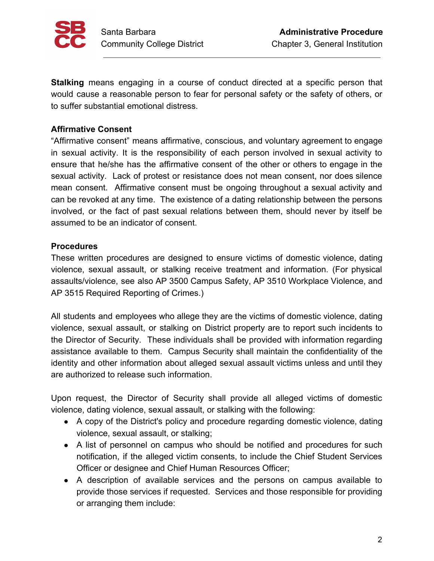

**Stalking** means engaging in a course of conduct directed at a specific person that would cause a reasonable person to fear for personal safety or the safety of others, or to suffer substantial emotional distress.

## **Affirmative Consent**

"Affirmative consent" means affirmative, conscious, and voluntary agreement to engage in sexual activity. It is the responsibility of each person involved in sexual activity to ensure that he/she has the affirmative consent of the other or others to engage in the sexual activity. Lack of protest or resistance does not mean consent, nor does silence mean consent. Affirmative consent must be ongoing throughout a sexual activity and can be revoked at any time. The existence of a dating relationship between the persons involved, or the fact of past sexual relations between them, should never by itself be assumed to be an indicator of consent.

#### **Procedures**

These written procedures are designed to ensure victims of domestic violence, dating violence, sexual assault, or stalking receive treatment and information. (For physical assaults/violence, see also AP 3500 Campus Safety, AP 3510 Workplace Violence, and AP 3515 Required Reporting of Crimes.)

All students and employees who allege they are the victims of domestic violence, dating violence, sexual assault, or stalking on District property are to report such incidents to the Director of Security. These individuals shall be provided with information regarding assistance available to them. Campus Security shall maintain the confidentiality of the identity and other information about alleged sexual assault victims unless and until they are authorized to release such information.

Upon request, the Director of Security shall provide all alleged victims of domestic violence, dating violence, sexual assault, or stalking with the following:

- A copy of the District's policy and procedure regarding domestic violence, dating violence, sexual assault, or stalking;
- A list of personnel on campus who should be notified and procedures for such notification, if the alleged victim consents, to include the Chief Student Services Officer or designee and Chief Human Resources Officer;
- A description of available services and the persons on campus available to provide those services if requested. Services and those responsible for providing or arranging them include: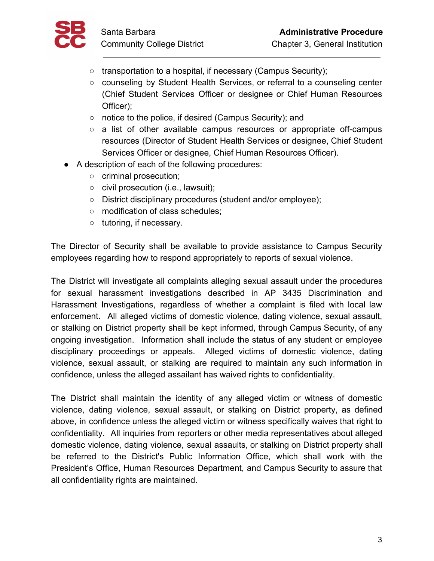

- transportation to a hospital, if necessary (Campus Security);
- counseling by Student Health Services, or referral to a counseling center (Chief Student Services Officer or designee or Chief Human Resources Officer);
- notice to the police, if desired (Campus Security); and
- a list of other available campus resources or appropriate off-campus resources (Director of Student Health Services or designee, Chief Student Services Officer or designee, Chief Human Resources Officer).
- A description of each of the following procedures:
	- criminal prosecution;
	- civil prosecution (i.e., lawsuit);
	- District disciplinary procedures (student and/or employee);
	- modification of class schedules;
	- tutoring, if necessary.

The Director of Security shall be available to provide assistance to Campus Security employees regarding how to respond appropriately to reports of sexual violence.

The District will investigate all complaints alleging sexual assault under the procedures for sexual harassment investigations described in AP 3435 Discrimination and Harassment Investigations, regardless of whether a complaint is filed with local law enforcement. All alleged victims of domestic violence, dating violence, sexual assault, or stalking on District property shall be kept informed, through Campus Security, of any ongoing investigation. Information shall include the status of any student or employee disciplinary proceedings or appeals. Alleged victims of domestic violence, dating violence, sexual assault, or stalking are required to maintain any such information in confidence, unless the alleged assailant has waived rights to confidentiality.

The District shall maintain the identity of any alleged victim or witness of domestic violence, dating violence, sexual assault, or stalking on District property, as defined above, in confidence unless the alleged victim or witness specifically waives that right to confidentiality. All inquiries from reporters or other media representatives about alleged domestic violence, dating violence, sexual assaults, or stalking on District property shall be referred to the District's Public Information Office, which shall work with the President's Office, Human Resources Department, and Campus Security to assure that all confidentiality rights are maintained.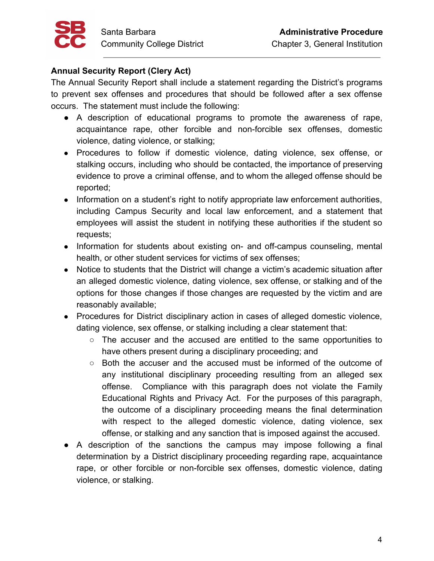

#### **Annual Security Report (Clery Act)**

The Annual Security Report shall include a statement regarding the District's programs to prevent sex offenses and procedures that should be followed after a sex offense occurs. The statement must include the following:

- A description of educational programs to promote the awareness of rape, acquaintance rape, other forcible and non-forcible sex offenses, domestic violence, dating violence, or stalking;
- Procedures to follow if domestic violence, dating violence, sex offense, or stalking occurs, including who should be contacted, the importance of preserving evidence to prove a criminal offense, and to whom the alleged offense should be reported;
- Information on a student's right to notify appropriate law enforcement authorities, including Campus Security and local law enforcement, and a statement that employees will assist the student in notifying these authorities if the student so requests;
- Information for students about existing on- and off-campus counseling, mental health, or other student services for victims of sex offenses;
- Notice to students that the District will change a victim's academic situation after an alleged domestic violence, dating violence, sex offense, or stalking and of the options for those changes if those changes are requested by the victim and are reasonably available;
- Procedures for District disciplinary action in cases of alleged domestic violence, dating violence, sex offense, or stalking including a clear statement that:
	- The accuser and the accused are entitled to the same opportunities to have others present during a disciplinary proceeding; and
	- Both the accuser and the accused must be informed of the outcome of any institutional disciplinary proceeding resulting from an alleged sex offense. Compliance with this paragraph does not violate the Family Educational Rights and Privacy Act. For the purposes of this paragraph, the outcome of a disciplinary proceeding means the final determination with respect to the alleged domestic violence, dating violence, sex offense, or stalking and any sanction that is imposed against the accused.
- A description of the sanctions the campus may impose following a final determination by a District disciplinary proceeding regarding rape, acquaintance rape, or other forcible or non-forcible sex offenses, domestic violence, dating violence, or stalking.